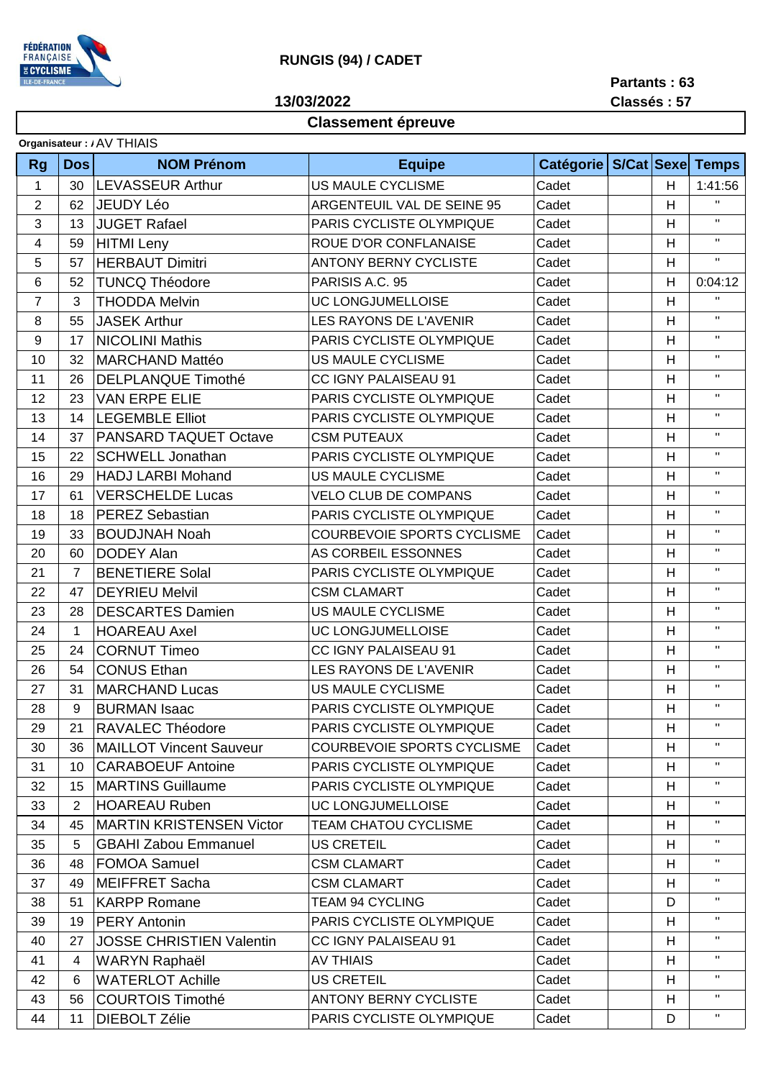

## **RUNGIS (94) / CADET**

**13/03/2022**

**Partants : 63 Classés : 57**

## **Classement épreuve**

| Organisateur: / AV THIAIS |                |                                 |                                   |                                  |  |                           |                |  |
|---------------------------|----------------|---------------------------------|-----------------------------------|----------------------------------|--|---------------------------|----------------|--|
| <b>Rg</b>                 | <b>Dos</b>     | <b>NOM Prénom</b>               | <b>Equipe</b>                     | Catégorie   S/Cat   Sexe   Temps |  |                           |                |  |
| $\mathbf{1}$              | 30             | <b>LEVASSEUR Arthur</b>         | <b>US MAULE CYCLISME</b>          | Cadet                            |  | H                         | 1:41:56        |  |
| $\overline{2}$            | 62             | <b>JEUDY Léo</b>                | ARGENTEUIL VAL DE SEINE 95        | Cadet                            |  | H                         | $\mathbf{H}$   |  |
| 3                         | 13             | <b>JUGET Rafael</b>             | PARIS CYCLISTE OLYMPIQUE          | Cadet                            |  | H                         | $\mathbf{H}$   |  |
| 4                         | 59             | <b>HITMI</b> Leny               | ROUE D'OR CONFLANAISE             | Cadet                            |  | H                         | $\mathbf{H}$   |  |
| 5                         | 57             | <b>HERBAUT Dimitri</b>          | <b>ANTONY BERNY CYCLISTE</b>      | Cadet                            |  | H                         | $\mathbf{H}$   |  |
| 6                         | 52             | <b>TUNCQ Théodore</b>           | PARISIS A.C. 95                   | Cadet                            |  | H                         | 0:04:12        |  |
| $\overline{7}$            | 3              | <b>THODDA Melvin</b>            | UC LONGJUMELLOISE                 | Cadet                            |  | H                         | $\mathbf{H}$   |  |
| 8                         | 55             | <b>JASEK Arthur</b>             | LES RAYONS DE L'AVENIR            | Cadet                            |  | Н                         | $\mathbf H$    |  |
| 9                         | 17             | <b>NICOLINI Mathis</b>          | PARIS CYCLISTE OLYMPIQUE          | Cadet                            |  | H                         | $\mathbf{H}$   |  |
| 10                        | 32             | <b>MARCHAND Mattéo</b>          | US MAULE CYCLISME                 | Cadet                            |  | H                         | $\mathbf{H}$   |  |
| 11                        | 26             | <b>DELPLANQUE Timothé</b>       | CC IGNY PALAISEAU 91              | Cadet                            |  | H                         | $\mathbf{H}$   |  |
| 12                        | 23             | <b>VAN ERPE ELIE</b>            | PARIS CYCLISTE OLYMPIQUE          | Cadet                            |  | Н                         | $\mathbf{H}$   |  |
| 13                        | 14             | <b>LEGEMBLE Elliot</b>          | PARIS CYCLISTE OLYMPIQUE          | Cadet                            |  | Н                         | $\mathbf{H}$   |  |
| 14                        | 37             | <b>PANSARD TAQUET Octave</b>    | <b>CSM PUTEAUX</b>                | Cadet                            |  | H                         | $\mathbf{H}$   |  |
| 15                        | 22             | <b>SCHWELL Jonathan</b>         | PARIS CYCLISTE OLYMPIQUE          | Cadet                            |  | H                         | $\mathbf{H}$   |  |
| 16                        | 29             | <b>HADJ LARBI Mohand</b>        | US MAULE CYCLISME                 | Cadet                            |  | Н                         | $\mathbf{H}$   |  |
| 17                        | 61             | <b>VERSCHELDE Lucas</b>         | <b>VELO CLUB DE COMPANS</b>       | Cadet                            |  | H                         | $\mathbf{H}$   |  |
| 18                        | 18             | <b>PEREZ Sebastian</b>          | PARIS CYCLISTE OLYMPIQUE          | Cadet                            |  | H                         | $\mathbf{H}$   |  |
| 19                        | 33             | <b>BOUDJNAH Noah</b>            | <b>COURBEVOIE SPORTS CYCLISME</b> | Cadet                            |  | H                         | $\mathbf{H}$   |  |
| 20                        | 60             | <b>DODEY Alan</b>               | AS CORBEIL ESSONNES               | Cadet                            |  | H                         | $\mathbf{H}$   |  |
| 21                        | $\overline{7}$ | <b>BENETIERE Solal</b>          | PARIS CYCLISTE OLYMPIQUE          | Cadet                            |  | H                         | $\mathbf{H}$ . |  |
| 22                        | 47             | <b>DEYRIEU Melvil</b>           | <b>CSM CLAMART</b>                | Cadet                            |  | H                         | $\mathbf{H}$   |  |
| 23                        | 28             | <b>DESCARTES Damien</b>         | US MAULE CYCLISME                 | Cadet                            |  | H                         | $\mathbf{H}$   |  |
| 24                        | $\mathbf{1}$   | <b>HOAREAU Axel</b>             | UC LONGJUMELLOISE                 | Cadet                            |  | H                         | $\mathbf H$    |  |
| 25                        | 24             | <b>CORNUT Timeo</b>             | <b>CC IGNY PALAISEAU 91</b>       | Cadet                            |  | H                         | $\mathbf{H}$   |  |
| 26                        | 54             | <b>CONUS Ethan</b>              | LES RAYONS DE L'AVENIR            | Cadet                            |  | H                         | $\mathbf H$    |  |
| 27                        | 31             | <b>MARCHAND Lucas</b>           | US MAULE CYCLISME                 | Cadet                            |  | H                         | $\mathbf{H}$   |  |
| 28                        | 9              | <b>BURMAN Isaac</b>             | PARIS CYCLISTE OLYMPIQUE          | Cadet                            |  | $\boldsymbol{\mathsf{H}}$ | $\mathbf{H}$   |  |
| 29                        | 21             | RAVALEC Théodore                | PARIS CYCLISTE OLYMPIQUE          | Cadet                            |  | н                         | Π.             |  |
| 30                        | 36             | <b>MAILLOT Vincent Sauveur</b>  | <b>COURBEVOIE SPORTS CYCLISME</b> | Cadet                            |  | H                         | Η.             |  |
| 31                        | 10             | <b>CARABOEUF Antoine</b>        | PARIS CYCLISTE OLYMPIQUE          | Cadet                            |  | H                         | Π.             |  |
| 32                        | 15             | MARTINS Guillaume               | PARIS CYCLISTE OLYMPIQUE          | Cadet                            |  | H                         | $\mathbf{H}$   |  |
| 33                        | 2              | <b>HOAREAU Ruben</b>            | UC LONGJUMELLOISE                 | Cadet                            |  | H                         | $\mathbf{H}$   |  |
| 34                        | 45             | <b>MARTIN KRISTENSEN Victor</b> | <b>TEAM CHATOU CYCLISME</b>       | Cadet                            |  | H                         | $\mathbf{H}$   |  |
| 35                        | 5              | <b>GBAHI Zabou Emmanuel</b>     | <b>US CRETEIL</b>                 | Cadet                            |  | H                         | Η.             |  |
| 36                        | 48             | <b>FOMOA Samuel</b>             | <b>CSM CLAMART</b>                | Cadet                            |  | H                         | $\mathbf{H}$   |  |
| 37                        | 49             | <b>MEIFFRET Sacha</b>           | <b>CSM CLAMART</b>                | Cadet                            |  | H                         | $\mathbf{H}$   |  |
| 38                        | 51             | KARPP Romane                    | <b>TEAM 94 CYCLING</b>            | Cadet                            |  | D                         | $\mathbf H$    |  |
| 39                        | 19             | <b>PERY Antonin</b>             | PARIS CYCLISTE OLYMPIQUE          | Cadet                            |  | H                         | $\mathbf{H}$   |  |
| 40                        | 27             | <b>JOSSE CHRISTIEN Valentin</b> | CC IGNY PALAISEAU 91              | Cadet                            |  | H                         | $\mathbf{H}$   |  |
| 41                        | 4              | <b>WARYN Raphaël</b>            | <b>AV THIAIS</b>                  | Cadet                            |  | H                         | $\mathbf{H}$   |  |
| 42                        | 6              | <b>WATERLOT Achille</b>         | <b>US CRETEIL</b>                 | Cadet                            |  | H                         | $\mathbf{H}$   |  |
| 43                        | 56             | <b>COURTOIS Timothé</b>         | <b>ANTONY BERNY CYCLISTE</b>      | Cadet                            |  | H                         | $\mathbf{H}$   |  |
| 44                        | 11             | <b>DIEBOLT Zélie</b>            | PARIS CYCLISTE OLYMPIQUE          | Cadet                            |  | D                         | $\mathbf{H}$   |  |